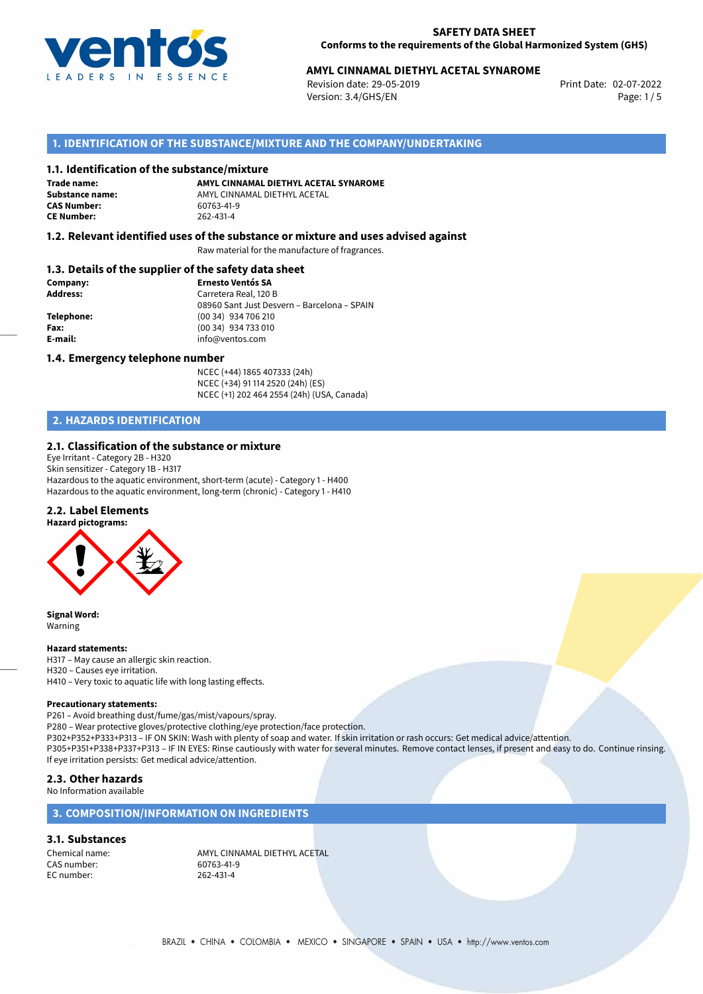

# **AMYL CINNAMAL DIETHYL ACETAL SYNAROME**<br>Revision date: 29-05-2019<br>Print Date: 02-07-2022

Revision date: 29-05-2019 Version: 3.4/GHS/EN Page: 1 / 5

# **1. IDENTIFICATION OF THE SUBSTANCE/MIXTURE AND THE COMPANY/UNDERTAKING**

### **1.1. Identification of the substance/mixture**

**Trade name: CAS Number: CE Number:** 262-431-4

**AMYL CINNAMAL DIETHYL ACETAL SYNAROME Substance name:** AMYL CINNAMAL DIETHYL ACETAL<br> **CAS Number:** 60763-41-9

## **1.2. Relevant identified uses of the substance or mixture and uses advised against**

Raw material for the manufacture of fragrances.

## **1.3. Details of the supplier of the safety data sheet**

| Company:        | <b>Ernesto Ventós SA</b>                    |
|-----------------|---------------------------------------------|
| <b>Address:</b> | Carretera Real, 120 B                       |
|                 | 08960 Sant Just Desvern - Barcelona - SPAIN |
| Telephone:      | (00 34) 934 706 210                         |
| Fax:            | (00 34) 934 733 010                         |
| E-mail:         | info@ventos.com                             |
|                 |                                             |

### **1.4. Emergency telephone number**

NCEC (+44) 1865 407333 (24h) NCEC (+34) 91 114 2520 (24h) (ES) NCEC (+1) 202 464 2554 (24h) (USA, Canada)

# **2. HAZARDS IDENTIFICATION**

### **2.1. Classification of the substance or mixture**

Eye Irritant - Category 2B - H320 Skin sensitizer - Category 1B - H317 Hazardous to the aquatic environment, short-term (acute) - Category 1 - H400 Hazardous to the aquatic environment, long-term (chronic) - Category 1 - H410

## **2.2. Label Elements**



**Signal Word:** Warning

#### **Hazard statements:**

H317 – May cause an allergic skin reaction. H320 – Causes eye irritation. H410 – Very toxic to aquatic life with long lasting effects.

#### **Precautionary statements:**

P261 – Avoid breathing dust/fume/gas/mist/vapours/spray.

P280 – Wear protective gloves/protective clothing/eye protection/face protection.

P302+P352+P333+P313 – IF ON SKIN: Wash with plenty of soap and water. If skin irritation or rash occurs: Get medical advice/attention.

P305+P351+P338+P337+P313 – IF IN EYES: Rinse cautiously with water for several minutes. Remove contact lenses, if present and easy to do. Continue rinsing. If eye irritation persists: Get medical advice/attention.

## **2.3. Other hazards**

No Information available

# **3. COMPOSITION/INFORMATION ON INGREDIENTS**

#### **3.1. Substances**

CAS number: 60763-41-1<br>EC number: 262-431-4 EC number:

Chemical name:  $\begin{array}{r}\n\text{AMYL CINNAMAL DIFTHYL ACETAL} \\
\text{GAS number:} \\
60763-41-9\n\end{array}$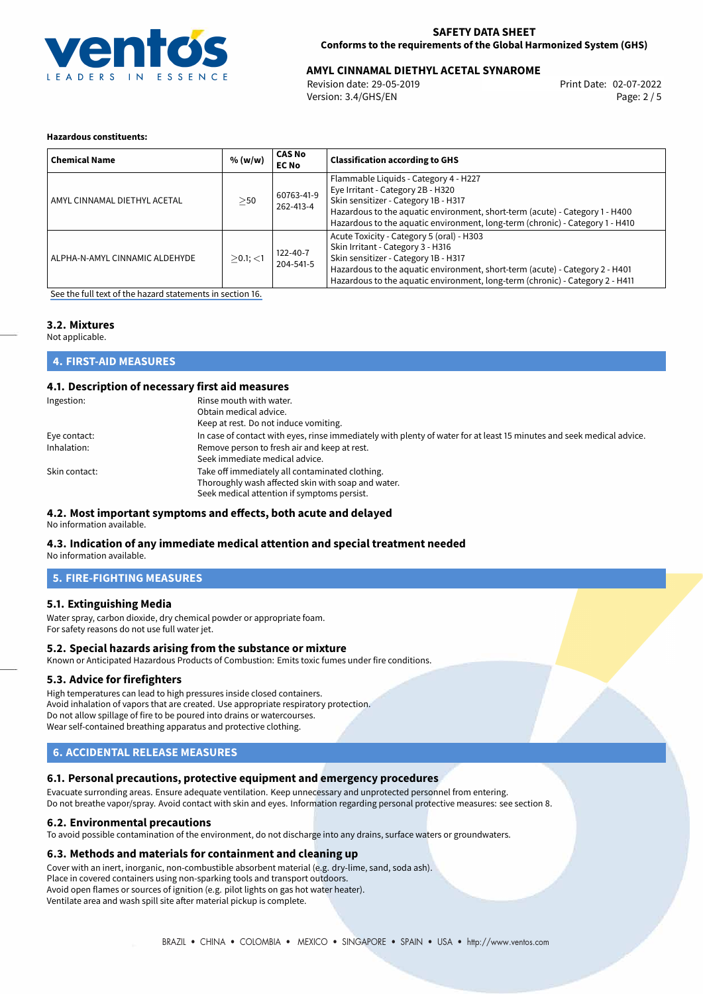

# **AMYL CINNAMAL DIETHYL ACETAL SYNAROME**<br>Revision date: 29-05-2019<br>Print Date: 02-07-2022

Revision date: 29-05-2019 Version: 3.4/GHS/EN Page: 2 / 5

## **Hazardous constituents:**

| <b>Chemical Name</b>           | % (w/w)     | <b>CAS No</b><br><b>EC No</b> | <b>Classification according to GHS</b>                                                                                                                                                                                                                                                  |
|--------------------------------|-------------|-------------------------------|-----------------------------------------------------------------------------------------------------------------------------------------------------------------------------------------------------------------------------------------------------------------------------------------|
| AMYL CINNAMAL DIETHYL ACETAL   | >50         | 60763-41-9<br>262-413-4       | Flammable Liquids - Category 4 - H227<br>Eye Irritant - Category 2B - H320<br>Skin sensitizer - Category 1B - H317<br>Hazardous to the aquatic environment, short-term (acute) - Category 1 - H400<br>Hazardous to the aquatic environment, long-term (chronic) - Category 1 - H410     |
| ALPHA-N-AMYL CINNAMIC ALDEHYDE | $>0.1$ ; <1 | $122 - 40 - 7$<br>204-541-5   | Acute Toxicity - Category 5 (oral) - H303<br>Skin Irritant - Category 3 - H316<br>Skin sensitizer - Category 1B - H317<br>Hazardous to the aquatic environment, short-term (acute) - Category 2 - H401<br>Hazardous to the aquatic environment, long-term (chronic) - Category 2 - H411 |

[See the full text of the hazard statements in section 16.](#page-4-0)

## **3.2. Mixtures**

Not applicable.

# **4. FIRST-AID MEASURES**

# **4.1. Description of necessary first aid measures**

| Ingestion:    | Rinse mouth with water.                                                                                               |
|---------------|-----------------------------------------------------------------------------------------------------------------------|
|               | Obtain medical advice.                                                                                                |
|               | Keep at rest. Do not induce vomiting.                                                                                 |
| Eye contact:  | In case of contact with eyes, rinse immediately with plenty of water for at least 15 minutes and seek medical advice. |
| Inhalation:   | Remove person to fresh air and keep at rest.                                                                          |
|               | Seek immediate medical advice.                                                                                        |
| Skin contact: | Take off immediately all contaminated clothing.                                                                       |
|               | Thoroughly wash affected skin with soap and water.                                                                    |
|               | Seek medical attention if symptoms persist.                                                                           |

## **4.2. Most important symptoms and effects, both acute and delayed**

No information available.

## **4.3. Indication of any immediate medical attention and special treatment needed**

No information available.

# **5. FIRE-FIGHTING MEASURES**

## **5.1. Extinguishing Media**

Water spray, carbon dioxide, dry chemical powder or appropriate foam. For safety reasons do not use full water jet.

#### **5.2. Special hazards arising from the substance or mixture**

Known or Anticipated Hazardous Products of Combustion: Emits toxic fumes under fire conditions.

# **5.3. Advice for firefighters**

High temperatures can lead to high pressures inside closed containers. Avoid inhalation of vapors that are created. Use appropriate respiratory protection. Do not allow spillage of fire to be poured into drains or watercourses. Wear self-contained breathing apparatus and protective clothing.

# **6. ACCIDENTAL RELEASE MEASURES**

## **6.1. Personal precautions, protective equipment and emergency procedures**

Evacuate surronding areas. Ensure adequate ventilation. Keep unnecessary and unprotected personnel from entering. Do not breathe vapor/spray. Avoid contact with skin and eyes. Information regarding personal protective measures: see section 8.

# **6.2. Environmental precautions**

To avoid possible contamination of the environment, do not discharge into any drains, surface waters or groundwaters.

## **6.3. Methods and materials for containment and cleaning up**

Cover with an inert, inorganic, non-combustible absorbent material (e.g. dry-lime, sand, soda ash). Place in covered containers using non-sparking tools and transport outdoors. Avoid open flames or sources of ignition (e.g. pilot lights on gas hot water heater). Ventilate area and wash spill site after material pickup is complete.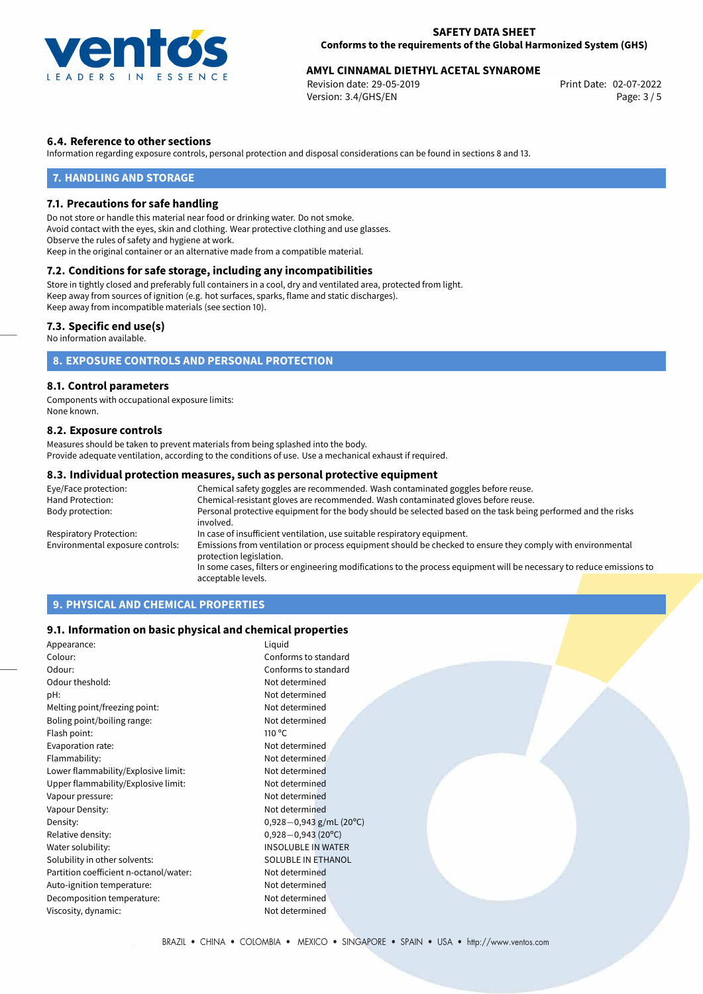

# **AMYL CINNAMAL DIETHYL ACETAL SYNAROME**<br>Revision date: 29-05-2019<br>Print Date: 02-07-2022

Revision date: 29-05-2019 Version: 3.4/GHS/EN Page: 3 / 5

# **6.4. Reference to other sections**

Information regarding exposure controls, personal protection and disposal considerations can be found in sections 8 and 13.

## **7. HANDLING AND STORAGE**

## **7.1. Precautions for safe handling**

Do not store or handle this material near food or drinking water. Do not smoke. Avoid contact with the eyes, skin and clothing. Wear protective clothing and use glasses. Observe the rules of safety and hygiene at work. Keep in the original container or an alternative made from a compatible material.

# **7.2. Conditions for safe storage, including any incompatibilities**

Store in tightly closed and preferably full containers in a cool, dry and ventilated area, protected from light. Keep away from sources of ignition (e.g. hot surfaces, sparks, flame and static discharges). Keep away from incompatible materials (see section 10).

## **7.3. Specific end use(s)**

No information available.

# **8. EXPOSURE CONTROLS AND PERSONAL PROTECTION**

## **8.1. Control parameters**

Components with occupational exposure limits: None known.

## **8.2. Exposure controls**

Measures should be taken to prevent materials from being splashed into the body. Provide adequate ventilation, according to the conditions of use. Use a mechanical exhaust if required.

### **8.3. Individual protection measures, such as personal protective equipment**

| Eye/Face protection:             | Chemical safety goggles are recommended. Wash contaminated goggles before reuse.                                                      |  |  |
|----------------------------------|---------------------------------------------------------------------------------------------------------------------------------------|--|--|
| Hand Protection:                 | Chemical-resistant gloves are recommended. Wash contaminated gloves before reuse.                                                     |  |  |
| Body protection:                 | Personal protective equipment for the body should be selected based on the task being performed and the risks<br>involved.            |  |  |
| Respiratory Protection:          | In case of insufficient ventilation, use suitable respiratory equipment.                                                              |  |  |
| Environmental exposure controls: | Emissions from ventilation or process equipment should be checked to ensure they comply with environmental<br>protection legislation. |  |  |
|                                  | In some cases, filters or engineering modifications to the process equipment will be necessary to reduce emissions to                 |  |  |
|                                  | acceptable levels.                                                                                                                    |  |  |

# **9. PHYSICAL AND CHEMICAL PROPERTIES**

## **9.1. Information on basic physical and chemical properties**

| Appearance:                            | Liquid                       |  |
|----------------------------------------|------------------------------|--|
| Colour:                                | Conforms to standard         |  |
| Odour:                                 | Conforms to standard         |  |
| Odour theshold:                        | Not determined               |  |
| pH:                                    | Not determined               |  |
| Melting point/freezing point:          | Not determined               |  |
| Boling point/boiling range:            | Not determined               |  |
| Flash point:                           | 110 $\degree$ C              |  |
| Evaporation rate:                      | Not determined               |  |
| Flammability:                          | Not determined               |  |
| Lower flammability/Explosive limit:    | Not determined               |  |
| Upper flammability/Explosive limit:    | Not determined               |  |
| Vapour pressure:                       | Not determined               |  |
| Vapour Density:                        | Not determined               |  |
| Density:                               | $0,928-0,943$ g/mL (20°C)    |  |
| Relative density:                      | $0,928 - 0,943(20^{\circ}C)$ |  |
| Water solubility:                      | <b>INSOLUBLE IN WATER</b>    |  |
| Solubility in other solvents:          | SOLUBLE IN ETHANOL           |  |
| Partition coefficient n-octanol/water: | Not determined               |  |
| Auto-ignition temperature:             | Not determined               |  |
| Decomposition temperature:             | Not determined               |  |
| Viscosity, dynamic:                    | Not determined               |  |
|                                        |                              |  |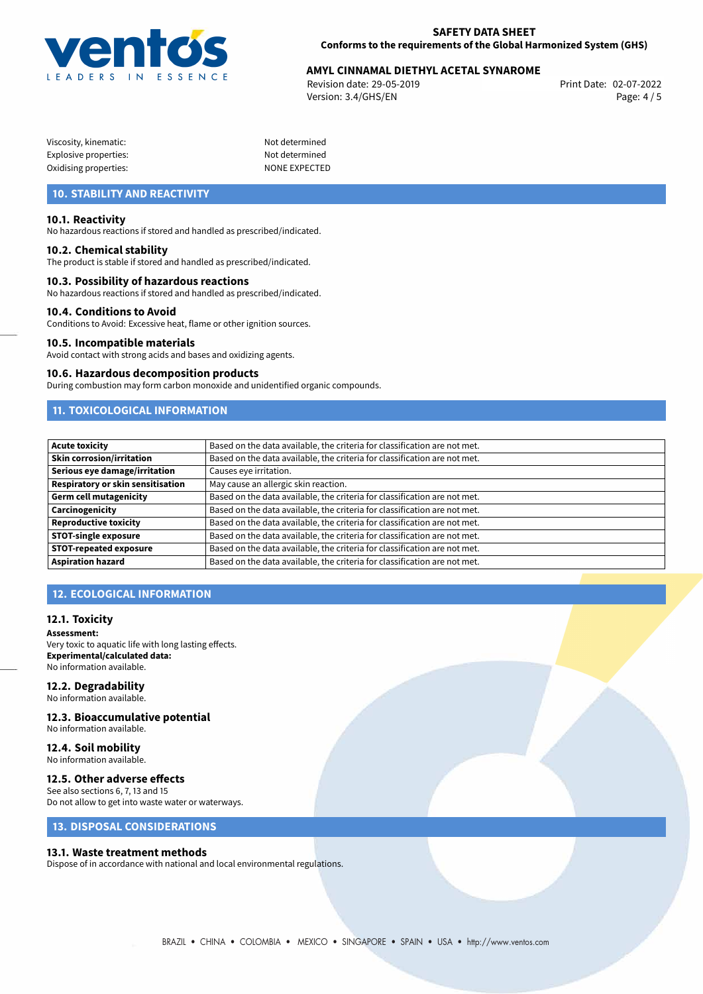

# **AMYL CINNAMAL DIETHYL ACETAL SYNAROME**<br>Revision date: 29-05-2019<br>Print Date: 02-07-2022

Revision date: 29-05-2019 Version: 3.4/GHS/EN Page: 4 / 5

| Viscosity, kinematic: |  |
|-----------------------|--|
| Explosive properties: |  |
| Oxidising properties: |  |

Not determined Not determined NONE EXPECTED

# **10. STABILITY AND REACTIVITY**

## **10.1. Reactivity**

No hazardous reactions if stored and handled as prescribed/indicated.

### **10.2. Chemical stability**

The product is stable if stored and handled as prescribed/indicated.

## **10.3. Possibility of hazardous reactions**

No hazardous reactions if stored and handled as prescribed/indicated.

#### **10.4. Conditions to Avoid**

Conditions to Avoid: Excessive heat, flame or other ignition sources.

#### **10.5. Incompatible materials**

Avoid contact with strong acids and bases and oxidizing agents.

#### **10.6. Hazardous decomposition products**

During combustion may form carbon monoxide and unidentified organic compounds.

# **11. TOXICOLOGICAL INFORMATION**

| Acute toxicity                    | Based on the data available, the criteria for classification are not met. |
|-----------------------------------|---------------------------------------------------------------------------|
| <b>Skin corrosion/irritation</b>  | Based on the data available, the criteria for classification are not met. |
| Serious eye damage/irritation     | Causes eye irritation.                                                    |
| Respiratory or skin sensitisation | May cause an allergic skin reaction.                                      |
| Germ cell mutagenicity            | Based on the data available, the criteria for classification are not met. |
| <b>Carcinogenicity</b>            | Based on the data available, the criteria for classification are not met. |
| Reproductive toxicity             | Based on the data available, the criteria for classification are not met. |
| <b>STOT-single exposure</b>       | Based on the data available, the criteria for classification are not met. |
| <b>STOT-repeated exposure</b>     | Based on the data available, the criteria for classification are not met. |
| Aspiration hazard                 | Based on the data available, the criteria for classification are not met. |

# **12. ECOLOGICAL INFORMATION**

### **12.1. Toxicity**

**Assessment:** Very toxic to aquatic life with long lasting effects. **Experimental/calculated data:** No information available.

# **12.2. Degradability**

No information available.

## **12.3. Bioaccumulative potential**

No information available.

#### **12.4. Soil mobility** No information available.

## **12.5. Other adverse effects**

See also sections 6, 7, 13 and 15 Do not allow to get into waste water or waterways.

# **13. DISPOSAL CONSIDERATIONS**

### **13.1. Waste treatment methods**

Dispose of in accordance with national and local environmental regulations.